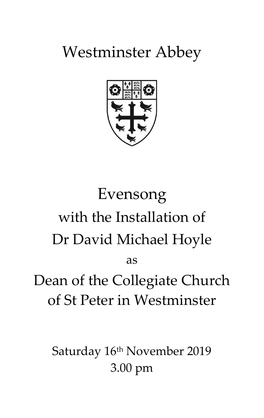Westminster Abbey



# Evensong with the Installation of Dr David Michael Hoyle

as

Dean of the Collegiate Church of St Peter in Westminster

Saturday 16<sup>th</sup> November 2019 3.00 pm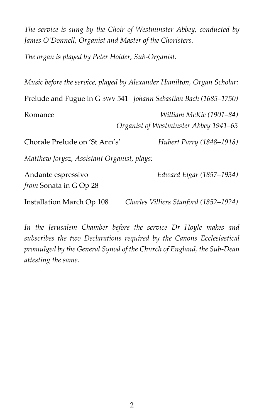*The service is sung by the Choir of Westminster Abbey, conducted by James O'Donnell, Organist and Master of the Choristers.*

*The organ is played by Peter Holder, Sub-Organist.*

|                                              | Music before the service, played by Alexander Hamilton, Organ Scholar: |
|----------------------------------------------|------------------------------------------------------------------------|
|                                              | Prelude and Fugue in G BWV 541 Johann Sebastian Bach (1685-1750)       |
| Romance                                      | William McKie (1901–84)<br>Organist of Westminster Abbey 1941–63       |
| Chorale Prelude on 'St Ann's'                | Hubert Parry (1848–1918)                                               |
| Matthew Jorysz, Assistant Organist, plays:   |                                                                        |
| Andante espressivo<br>from Sonata in G Op 28 | Edward Elgar (1857–1934)                                               |
| Installation March Op 108                    | Charles Villiers Stanford (1852–1924)                                  |

*In the Jerusalem Chamber before the service Dr Hoyle makes and subscribes the two Declarations required by the Canons Ecclesiastical promulged by the General Synod of the Church of England, the Sub-Dean attesting the same.*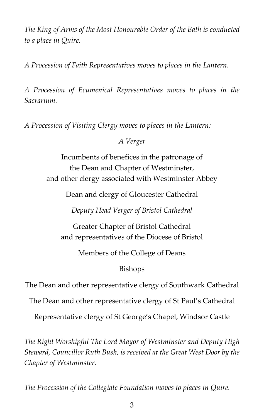*The King of Arms of the Most Honourable Order of the Bath is conducted to a place in Quire.*

*A Procession of Faith Representatives moves to places in the Lantern.*

*A Procession of Ecumenical Representatives moves to places in the Sacrarium.*

*A Procession of Visiting Clergy moves to places in the Lantern:*

*A Verger*

Incumbents of benefices in the patronage of the Dean and Chapter of Westminster, and other clergy associated with Westminster Abbey

Dean and clergy of Gloucester Cathedral

*Deputy Head Verger of Bristol Cathedral*

Greater Chapter of Bristol Cathedral and representatives of the Diocese of Bristol

Members of the College of Deans

# Bishops

The Dean and other representative clergy of Southwark Cathedral

The Dean and other representative clergy of St Paul's Cathedral

Representative clergy of St George's Chapel, Windsor Castle

*The Right Worshipful The Lord Mayor of Westminster and Deputy High Steward, Councillor Ruth Bush, is received at the Great West Door by the Chapter of Westminster.*

*The Procession of the Collegiate Foundation moves to places in Quire.*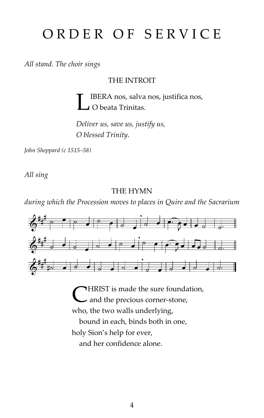# ORDER OF SERVICE

*All stand. The choir sings*

THE INTROIT

IBERA nos, salva nos, justifica nos, O beata Trinitas. L

*Deliver us, save us, justify us, O blessed Trinity.*

*John Sheppard (c 1515–58)*

*All sing*

THE HYMN

*during which the Procession moves to places in Quire and the Sacrarium*



HRIST is made the sure foundation, **C** HRIST is made the sure found:<br>and the precious corner-stone, who, the two walls underlying, bound in each, binds both in one, holy Sion's help for ever, and her confidence alone.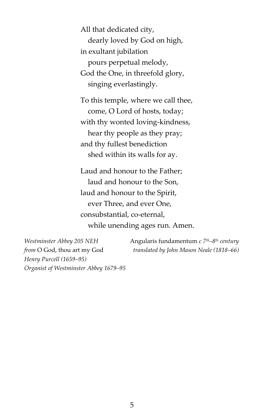All that dedicated city, dearly loved by God on high, in exultant jubilation pours perpetual melody, God the One, in threefold glory, singing everlastingly.

To this temple, where we call thee, come, O Lord of hosts, today; with thy wonted loving-kindness, hear thy people as they pray; and thy fullest benediction shed within its walls for ay.

Laud and honour to the Father; laud and honour to the Son, laud and honour to the Spirit, ever Three, and ever One, consubstantial, co-eternal, while unending ages run. Amen.

*Henry Purcell (1659–95) Organist of Westminster Abbey 1679–95*

*Westminster Abbey 205 NEH* Angularis fundamentum *c 7th–8 th century from* O God, thou art my God *translated by John Mason Neale (1818–66)*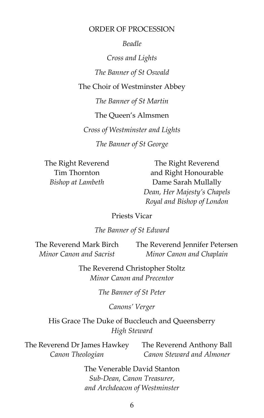#### ORDER OF PROCESSION

*Beadle*

*Cross and Lights The Banner of St Oswald* The Choir of Westminster Abbey *The Banner of St Martin* The Queen's Almsmen

*Cross of Westminster and Lights*

*The Banner of St George*

The Right Reverend Tim Thornton *Bishop at Lambeth*

The Right Reverend and Right Honourable Dame Sarah Mullally *Dean, Her Majesty's Chapels Royal and Bishop of London*

#### Priests Vicar

#### *The Banner of St Edward*

The Reverend Mark Birch *Minor Canon and Sacrist* The Reverend Jennifer Petersen *Minor Canon and Chaplain*

> The Reverend Christopher Stoltz *Minor Canon and Precentor*

> > *The Banner of St Peter*

*Canons' Verger*

His Grace The Duke of Buccleuch and Queensberry *High Steward*

The Reverend Dr James Hawkey *Canon Theologian* The Reverend Anthony Ball *Canon Steward and Almoner*

> The Venerable David Stanton *Sub-Dean, Canon Treasurer, and Archdeacon of Westminster*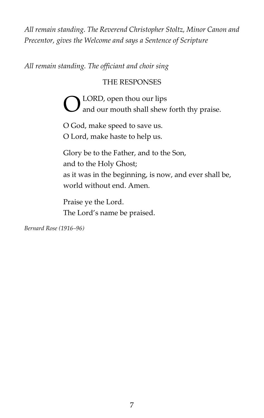*All remain standing. The Reverend Christopher Stoltz, Minor Canon and Precentor, gives the Welcome and says a Sentence of Scripture*

*All remain standing. The officiant and choir sing* 

# THE RESPONSES

LORD, open thou our lips and our mouth shall shew forth thy praise. O

O God, make speed to save us. O Lord, make haste to help us.

Glory be to the Father, and to the Son, and to the Holy Ghost; as it was in the beginning, is now, and ever shall be, world without end. Amen.

Praise ye the Lord. The Lord's name be praised.

*Bernard Rose (1916–96)*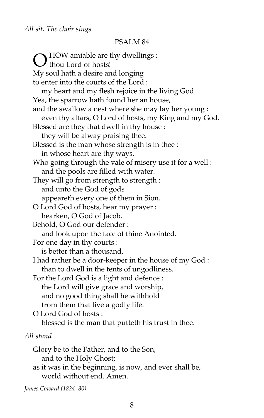#### PSALM 84

HOW amiable are thy dwellings :  $\bigcirc$  HOW amiable are the thousand through the state. My soul hath a desire and longing to enter into the courts of the Lord : my heart and my flesh rejoice in the living God. Yea, the sparrow hath found her an house, and the swallow a nest where she may lay her young : even thy altars, O Lord of hosts, my King and my God. Blessed are they that dwell in thy house : they will be alway praising thee. Blessed is the man whose strength is in thee : in whose heart are thy ways. Who going through the vale of misery use it for a well : and the pools are filled with water. They will go from strength to strength : and unto the God of gods appeareth every one of them in Sion. O Lord God of hosts, hear my prayer : hearken, O God of Jacob. Behold, O God our defender : and look upon the face of thine Anointed. For one day in thy courts : is better than a thousand. I had rather be a door-keeper in the house of my God : than to dwell in the tents of ungodliness. For the Lord God is a light and defence : the Lord will give grace and worship, and no good thing shall he withhold from them that live a godly life. O Lord God of hosts : blessed is the man that putteth his trust in thee. *All stand* Glory be to the Father, and to the Son, and to the Holy Ghost;

as it was in the beginning, is now, and ever shall be, world without end. Amen.

*James Coward (1824–80)*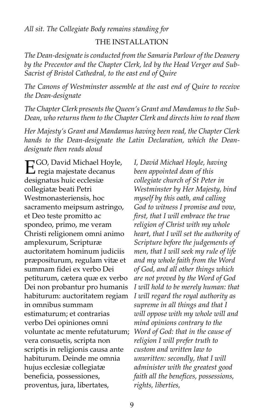*All sit. The Collegiate Body remains standing for*

#### THE INSTALLATION

*The Dean-designate is conducted from the Samaria Parlour of the Deanery by the Precentor and the Chapter Clerk, led by the Head Verger and Sub-Sacrist of Bristol Cathedral, to the east end of Quire*

*The Canons of Westminster assemble at the east end of Quire to receive the Dean-designate*

*The Chapter Clerk presents the Queen's Grant and Mandamus to the Sub-Dean, who returns them to the Chapter Clerk and directs him to read them*

*Her Majesty's Grant and Mandamus having been read, the Chapter Clerk hands to the Dean-designate the Latin Declaration, which the Deandesignate then reads aloud*

GO, David Michael Hoyle, EGO, David Michael Hoyl<br>
regia majestate decanus<br>
decimales hair corlection designatus huic ecclesiæ collegiatæ beati Petri Westmonasteriensis, hoc sacramento meipsum astringo, et Deo teste promitto ac spondeo, primo, me veram Christi religionem omni animo amplexurum, Scripturæ auctoritatem hominum judiciis præpositurum, regulam vitæ et summam fidei ex verbo Dei petiturum, cætera quæ ex verbo Dei non probantur pro humanis habiturum: auctoritatem regiam in omnibus summam estimaturum; et contrarias verbo Dei opiniones omni voluntate ac mente refutaturum; vera consuetis, scripta non scriptis in religionis causa ante habiturum. Deinde me omnia hujus ecclesiæ collegiatæ beneficia, possessiones, proventus, jura, libertates,

*I, David Michael Hoyle, having been appointed dean of this collegiate church of St Peter in Westminster by Her Majesty, bind myself by this oath, and calling God to witness I promise and vow, first, that I will embrace the true religion of Christ with my whole heart, that I will set the authority of Scripture before the judgements of men, that I will seek my rule of life and my whole faith from the Word of God, and all other things which are not proved by the Word of God I will hold to be merely human: that I will regard the royal authority as supreme in all things and that I will oppose with my whole will and mind opinions contrary to the Word of God: that in the cause of religion I will prefer truth to custom and written law to unwritten: secondly, that I will administer with the greatest good faith all the benefices, possessions, rights, liberties,*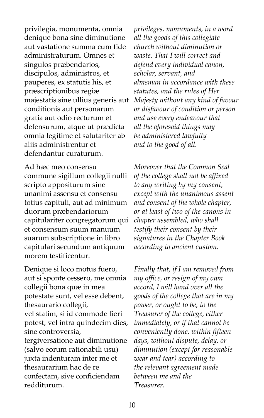privilegia, monumenta, omnia denique bona sine diminutione aut vastatione summa cum fide administraturum. Omnes et singulos præbendarios, discipulos, administros, et pauperes, ex statutis his, et præscriptionibus regiæ majestatis sine ullius generis aut conditionis aut personarum gratia aut odio recturum et defensurum, atque ut prædicta omnia legitime et salutariter ab aliis administrentur et defendantur curaturum.

Ad hæc meo consensu commune sigillum collegii nulli scripto appositurum sine unanimi assensu et consensu totius capituli, aut ad minimum duorum præbendariorum capitulariter congregatorum qui et consensum suum manuum suarum subscriptione in libro capitulari secundum antiquum morem testificentur.

Denique si loco motus fuero, aut si sponte cessero, me omnia collegii bona quæ in mea potestate sunt, vel esse debent, thesaurario collegii, vel statim, si id commode fieri potest, vel intra quindecim dies, sine controversia, tergiversatione aut diminutione (salvo eorum rationabili usu) juxta indenturam inter me et thesaurarium hac de re confectam, sive conficiendam redditurum.

*privileges, monuments, in a word all the goods of this collegiate church without diminution or waste. That I will correct and defend every individual canon, scholar, servant, and almsman in accordance with these statutes, and the rules of Her Majesty without any kind of favour or disfavour of condition or person and use every endeavour that all the aforesaid things may be administered lawfully and to the good of all.*

*Moreover that the Common Seal of the college shall not be affixed to any writing by my consent, except with the unanimous assent and consent of the whole chapter, or at least of two of the canons in chapter assembled, who shall testify their consent by their signatures in the Chapter Book according to ancient custom.*

*Finally that, if I am removed from my office, or resign of my own accord, I will hand over all the goods of the college that are in my power, or ought to be, to the Treasurer of the college, either immediately, or if that cannot be conveniently done, within fifteen days, without dispute, delay, or diminution (except for reasonable wear and tear) according to the relevant agreement made between me and the Treasurer.*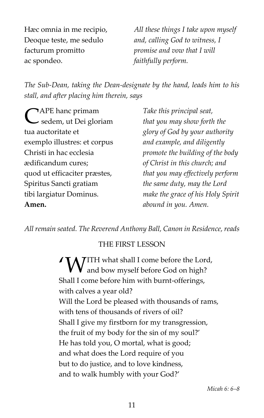Hæc omnia in me recipio, Deoque teste, me sedulo facturum promitto ac spondeo.

*All these things I take upon myself and, calling God to witness, I promise and vow that I will faithfully perform.*

*The Sub-Dean, taking the Dean-designate by the hand, leads him to his stall, and after placing him therein, says*

APE hanc primam CAPE hanc primam<br>
Sedem, ut Dei gloriam tua auctoritate et exemplo illustres: et corpus Christi in hac ecclesia ædificandum cures; quod ut efficaciter præstes, Spiritus Sancti gratiam tibi largiatur Dominus. **Amen.**

*Take this principal seat, that you may show forth the glory of God by your authority and example, and diligently promote the building of the body of Christ in this church; and that you may effectively perform the same duty, may the Lord make the grace of his Holy Spirit abound in you. Amen.*

*All remain seated. The Reverend Anthony Ball, Canon in Residence, reads*

# THE FIRST LESSON

**ITH** what shall I come before the Lord,<br>and bow myself before God on high? **V** and bow myself before God on high? Shall I come before him with burnt-offerings, with calves a year old? Will the Lord be pleased with thousands of rams, with tens of thousands of rivers of oil? Shall I give my firstborn for my transgression, the fruit of my body for the sin of my soul?' He has told you, O mortal, what is good; and what does the Lord require of you but to do justice, and to love kindness, and to walk humbly with your God?'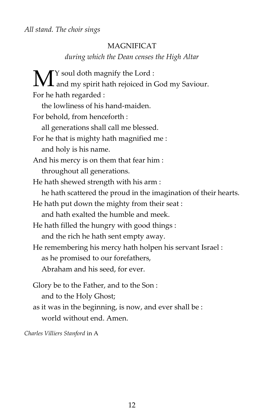## MAGNIFICAT

*during which the Dean censes the High Altar*

Y soul doth magnify the Lord :  $\mathbf{M}^{\text{Y}}$  soul doth magnify the Lord :<br>and my spirit hath rejoiced in God my Saviour. For he hath regarded : the lowliness of his hand-maiden. For behold, from henceforth : all generations shall call me blessed. For he that is mighty hath magnified me : and holy is his name. And his mercy is on them that fear him : throughout all generations. He hath shewed strength with his arm : he hath scattered the proud in the imagination of their hearts. He hath put down the mighty from their seat : and hath exalted the humble and meek. He hath filled the hungry with good things : and the rich he hath sent empty away. He remembering his mercy hath holpen his servant Israel : as he promised to our forefathers, Abraham and his seed, for ever. Glory be to the Father, and to the Son : and to the Holy Ghost; as it was in the beginning, is now, and ever shall be : world without end. Amen.

*Charles Villiers Stanford* in A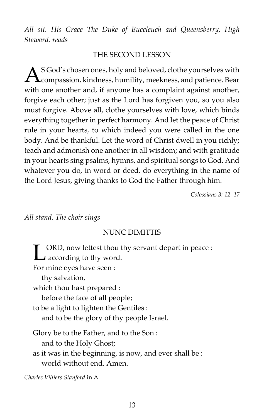*All sit. His Grace The Duke of Buccleuch and Queensberry, High Steward, reads* 

#### THE SECOND LESSON

S God's chosen ones, holy and beloved, clothe yourselves with  $\Delta^{\text{S God's chosen ones, holy and beloved, cloth}$  compassion, kindness, humility, meekness, and patience. Bear with one another and, if anyone has a complaint against another, forgive each other; just as the Lord has forgiven you, so you also must forgive. Above all, clothe yourselves with love, which binds everything together in perfect harmony. And let the peace of Christ rule in your hearts, to which indeed you were called in the one body. And be thankful. Let the word of Christ dwell in you richly; teach and admonish one another in all wisdom; and with gratitude in your hearts sing psalms, hymns, and spiritual songs to God. And whatever you do, in word or deed, do everything in the name of the Lord Jesus, giving thanks to God the Father through him.

*Colossians 3: 12–17*

#### *All stand. The choir sings*

#### NUNC DIMITTIS

ORD, now lettest thou thy servant depart in peace : **LET ORD, now lettest thou to according to thy word.** For mine eyes have seen : thy salvation, which thou hast prepared : before the face of all people; to be a light to lighten the Gentiles : and to be the glory of thy people Israel. Glory be to the Father, and to the Son : and to the Holy Ghost; as it was in the beginning, is now, and ever shall be : world without end. Amen.

*Charles Villiers Stanford* in A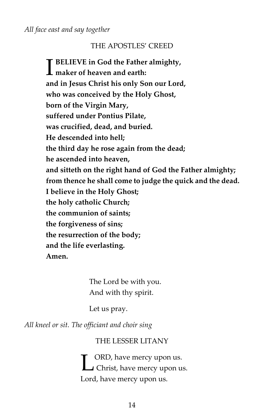#### THE APOSTLES' CREED

**BELIEVE in God the Father almighty,<br>
maker of heaven and earth:**<br>
i. I. Cl. : (1) **maker of heaven and earth: and in Jesus Christ his only Son our Lord, who was conceived by the Holy Ghost, born of the Virgin Mary, suffered under Pontius Pilate, was crucified, dead, and buried. He descended into hell; the third day he rose again from the dead; he ascended into heaven, and sitteth on the right hand of God the Father almighty; from thence he shall come to judge the quick and the dead. I believe in the Holy Ghost; the holy catholic Church; the communion of saints; the forgiveness of sins; the resurrection of the body; and the life everlasting. Amen.**

> The Lord be with you. And with thy spirit.

Let us pray.

*All kneel or sit. The officiant and choir sing*

#### THE LESSER LITANY

ORD, have mercy upon us. **CHRICH CHANGE MANUS** Christ, have mercy upon us. Lord, have mercy upon us.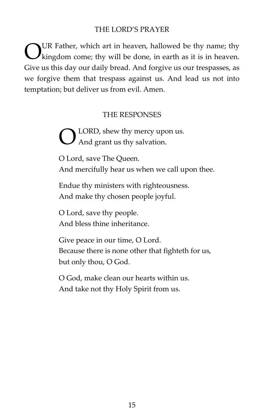#### THE LORD'S PRAYER

UR Father, which art in heaven, hallowed be thy name; thy  $\mathbf{V}$  kingdom come; thy will be done, in earth as it is in heaven. Give us this day our daily bread. And forgive us our trespasses, as we forgive them that trespass against us. And lead us not into temptation; but deliver us from evil. Amen. O

#### THE RESPONSES

LORD, shew thy mercy upon us. And grant us thy salvation. O

O Lord, save The Queen. And mercifully hear us when we call upon thee.

Endue thy ministers with righteousness. And make thy chosen people joyful.

O Lord, save thy people. And bless thine inheritance.

Give peace in our time, O Lord. Because there is none other that fighteth for us, but only thou, O God.

O God, make clean our hearts within us. And take not thy Holy Spirit from us.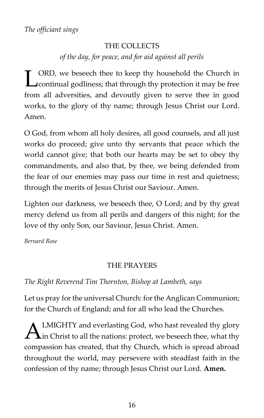# THE COLLECTS *of the day, for peace, and for aid against all perils*

ORD, we beseech thee to keep thy household the Church in **CORD**, we beseech thee to keep thy household the Church in continual godliness; that through thy protection it may be free from all adversities, and devoutly given to serve thee in good works, to the glory of thy name; through Jesus Christ our Lord. Amen.

O God, from whom all holy desires, all good counsels, and all just works do proceed; give unto thy servants that peace which the world cannot give; that both our hearts may be set to obey thy commandments, and also that, by thee, we being defended from the fear of our enemies may pass our time in rest and quietness; through the merits of Jesus Christ our Saviour. Amen.

Lighten our darkness, we beseech thee, O Lord; and by thy great mercy defend us from all perils and dangers of this night; for the love of thy only Son, our Saviour, Jesus Christ. Amen.

*Bernard Rose*

# THE PRAYERS

# *The Right Reverend Tim Thornton, Bishop at Lambeth, says*

Let us pray for the universal Church: for the Anglican Communion; for the Church of England; and for all who lead the Churches.

LMIGHTY and everlasting God, who hast revealed thy glory  $\mathbf{A}$  LMIGHTY and everlasting God, who hast revealed thy glory in Christ to all the nations: protect, we beseech thee, what thy compassion has created, that thy Church, which is spread abroad throughout the world, may persevere with steadfast faith in the confession of thy name; through Jesus Christ our Lord. **Amen.**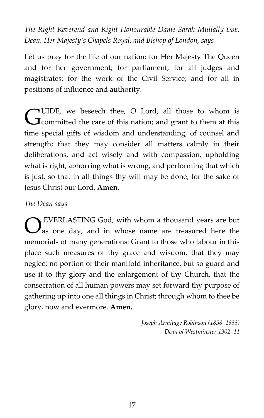*The Right Reverend and Right Honourable Dame Sarah Mullally DBE, Dean, Her Majesty's Chapels Royal, and Bishop of London, says*

Let us pray for the life of our nation: for Her Majesty The Queen and for her government; for parliament; for all judges and magistrates; for the work of the Civil Service; and for all in positions of influence and authority.

UIDE, we beseech thee, O Lord, all those to whom is **CUIDE**, we beseech thee, O Lord, all those to whom is committed the care of this nation; and grant to them at this time special gifts of wisdom and understanding, of counsel and strength; that they may consider all matters calmly in their deliberations, and act wisely and with compassion, upholding what is right, abhorring what is wrong, and performing that which is just, so that in all things thy will may be done; for the sake of Jesus Christ our Lord. **Amen.**

### *The Dean says*

EVERLASTING God, with whom a thousand years are but as one day, and in whose name are treasured here the memorials of many generations: Grant to those who labour in this place such measures of thy grace and wisdom, that they may neglect no portion of their manifold inheritance, but so guard and use it to thy glory and the enlargement of thy Church, that the consecration of all human powers may set forward thy purpose of gathering up into one all things in Christ; through whom to thee be glory, now and evermore. **Amen.** O

> *Joseph Armitage Robinson (1858–1933) Dean of Westminster 1902–11*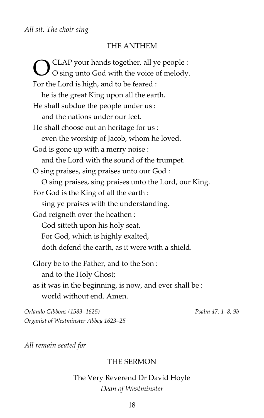#### THE ANTHEM

CLAP your hands together, all ye people : O sing unto God with the voice of melody. For the Lord is high, and to be feared : he is the great King upon all the earth. He shall subdue the people under us : and the nations under our feet. He shall choose out an heritage for us : even the worship of Jacob, whom he loved. God is gone up with a merry noise : and the Lord with the sound of the trumpet. O sing praises, sing praises unto our God : O sing praises, sing praises unto the Lord, our King. For God is the King of all the earth : sing ye praises with the understanding. God reigneth over the heathen : God sitteth upon his holy seat. For God, which is highly exalted, doth defend the earth, as it were with a shield. Glory be to the Father, and to the Son : and to the Holy Ghost; O

as it was in the beginning, is now, and ever shall be : world without end. Amen.

*Orlando Gibbons (1583–1625) Psalm 47: 1–8, 9b Organist of Westminster Abbey 1623–25*

*All remain seated for*

#### THE SERMON

# The Very Reverend Dr David Hoyle *Dean of Westminster*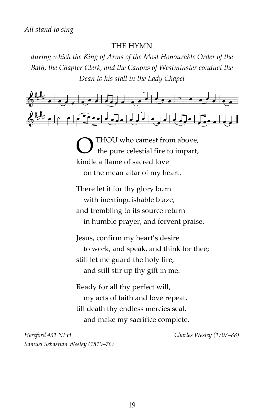#### THE HYMN

*during which the King of Arms of the Most Honourable Order of the Bath, the Chapter Clerk, and the Canons of Westminster conduct the Dean to his stall in the Lady Chapel*



THOU who camest from above, the pure celestial fire to impart, kindle a flame of sacred love on the mean altar of my heart. O

There let it for thy glory burn with inextinguishable blaze, and trembling to its source return in humble prayer, and fervent praise.

Jesus, confirm my heart's desire to work, and speak, and think for thee; still let me guard the holy fire, and still stir up thy gift in me.

Ready for all thy perfect will, my acts of faith and love repeat, till death thy endless mercies seal, and make my sacrifice complete.

*Hereford 431 NEH Charles Wesley (1707–88) Samuel Sebastian Wesley (1810–76)*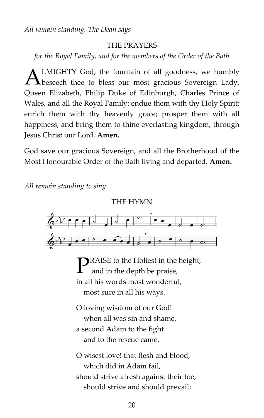*All remain standing. The Dean says*

#### THE PRAYERS

*for the Royal Family, and for the members of the Order of the Bath*

LMIGHTY God, the fountain of all goodness, we humbly beseech thee to bless our most gracious Sovereign Lady, Queen Elizabeth, Philip Duke of Edinburgh, Charles Prince of Wales, and all the Royal Family: endue them with thy Holy Spirit; enrich them with thy heavenly grace; prosper them with all happiness; and bring them to thine everlasting kingdom, through Jesus Christ our Lord. **Amen.**  $\overline{A}$ 

God save our gracious Sovereign, and all the Brotherhood of the Most Honourable Order of the Bath living and departed. **Amen.**

*All remain standing to sing*



# THE HYMN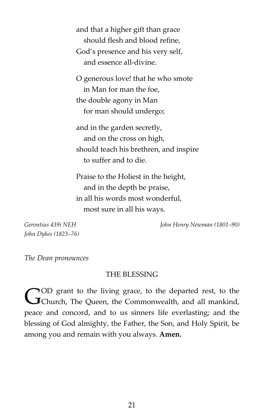and that a higher gift than grace should flesh and blood refine, God's presence and his very self, and essence all-divine.

O generous love! that he who smote in Man for man the foe, the double agony in Man for man should undergo;

and in the garden secretly, and on the cross on high, should teach his brethren, and inspire to suffer and to die.

Praise to the Holiest in the height, and in the depth be praise, in all his words most wonderful, most sure in all his ways.

*John Dykes (1823–76)*

*Gerontius 439i NEH John Henry Newman (1801–90)*

*The Dean pronounces*

#### THE BLESSING

OD grant to the living grace, to the departed rest, to the COD grant to the living grace, to the departed rest, to the Cohurch, The Queen, the Commonwealth, and all mankind, peace and concord, and to us sinners life everlasting; and the blessing of God almighty, the Father, the Son, and Holy Spirit, be among you and remain with you always. **Amen.**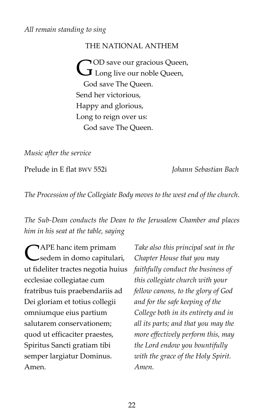#### *All remain standing to sing*

#### THE NATIONAL ANTHEM

OD save our gracious Queen, **COD** save our gracious Queen, God save The Queen. Send her victorious, Happy and glorious, Long to reign over us: God save The Queen.

*Music after the service*

Prelude in E flat BWV 552i *Johann Sebastian Bach*

*The Procession of the Collegiate Body moves to the west end of the church.*

# *The Sub-Dean conducts the Dean to the Jerusalem Chamber and places him in his seat at the table, saying*

APE hanc item primam sedem in domo capitulari, ut fideliter tractes negotia huius ecclesiae collegiatae cum fratribus tuis praebendariis ad Dei gloriam et totius collegii omniumque eius partium salutarem conservationem; quod ut efficaciter praestes, Spiritus Sancti gratiam tibi semper largiatur Dominus. Amen. C

*Take also this principal seat in the Chapter House that you may faithfully conduct the business of this collegiate church with your fellow canons, to the glory of God and for the safe keeping of the College both in its entirety and in all its parts; and that you may the more effectively perform this, may the Lord endow you bountifully with the grace of the Holy Spirit. Amen.*